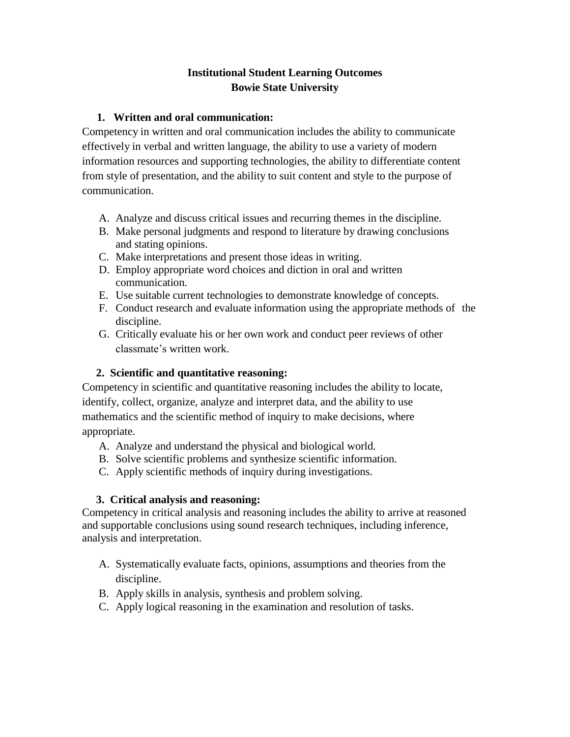## **Institutional Student Learning Outcomes Bowie State University**

### **1. Written and oral communication:**

Competency in written and oral communication includes the ability to communicate effectively in verbal and written language, the ability to use a variety of modern information resources and supporting technologies, the ability to differentiate content from style of presentation, and the ability to suit content and style to the purpose of communication.

- A. Analyze and discuss critical issues and recurring themes in the discipline.
- B. Make personal judgments and respond to literature by drawing conclusions and stating opinions.
- C. Make interpretations and present those ideas in writing.
- D. Employ appropriate word choices and diction in oral and written communication.
- E. Use suitable current technologies to demonstrate knowledge of concepts.
- F. Conduct research and evaluate information using the appropriate methods of the discipline.
- G. Critically evaluate his or her own work and conduct peer reviews of other classmate's written work.

# **2. Scientific and quantitative reasoning:**

Competency in scientific and quantitative reasoning includes the ability to locate, identify, collect, organize, analyze and interpret data, and the ability to use mathematics and the scientific method of inquiry to make decisions, where appropriate.

- A. Analyze and understand the physical and biological world.
- B. Solve scientific problems and synthesize scientific information.
- C. Apply scientific methods of inquiry during investigations.

#### **3. Critical analysis and reasoning:**

Competency in critical analysis and reasoning includes the ability to arrive at reasoned and supportable conclusions using sound research techniques, including inference, analysis and interpretation.

- A. Systematically evaluate facts, opinions, assumptions and theories from the discipline.
- B. Apply skills in analysis, synthesis and problem solving.
- C. Apply logical reasoning in the examination and resolution of tasks.